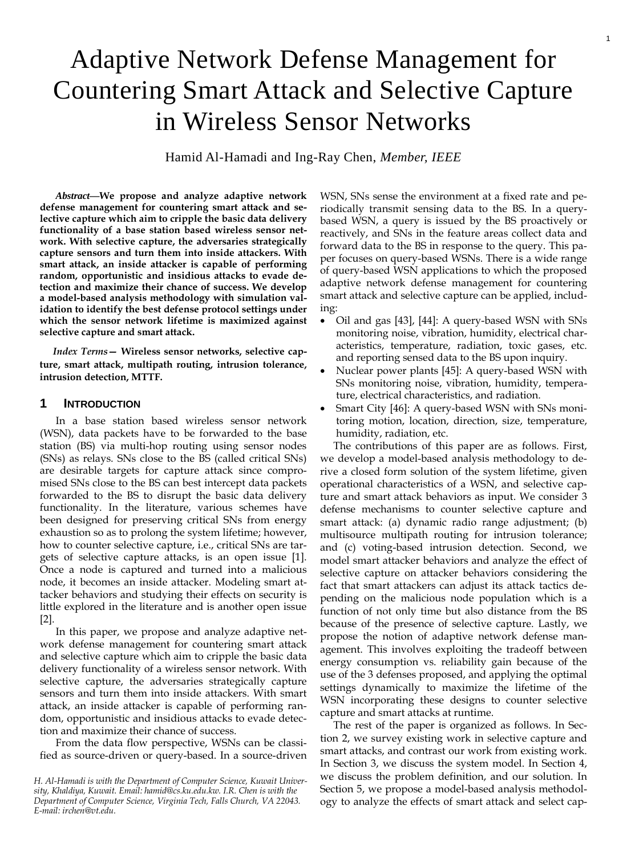# Adaptive Network Defense Management for Countering Smart Attack and Selective Capture in Wireless Sensor Networks

Hamid Al-Hamadi and Ing-Ray Chen, *Member, IEEE*

*Abstract***—We propose and analyze adaptive network defense management for countering smart attack and selective capture which aim to cripple the basic data delivery functionality of a base station based wireless sensor network. With selective capture, the adversaries strategically capture sensors and turn them into inside attackers. With smart attack, an inside attacker is capable of performing random, opportunistic and insidious attacks to evade detection and maximize their chance of success. We develop a model-based analysis methodology with simulation validation to identify the best defense protocol settings under which the sensor network lifetime is maximized against selective capture and smart attack.**

*Index Terms***— Wireless sensor networks, selective capture, smart attack, multipath routing, intrusion tolerance, intrusion detection, MTTF.**

# **1 INTRODUCTION**

In a base station based wireless sensor network (WSN), data packets have to be forwarded to the base station (BS) via multi-hop routing using sensor nodes (SNs) as relays. SNs close to the BS (called critical SNs) are desirable targets for capture attack since compromised SNs close to the BS can best intercept data packets forwarded to the BS to disrupt the basic data delivery functionality. In the literature, various schemes have been designed for preserving critical SNs from energy exhaustion so as to prolong the system lifetime; however, how to counter selective capture, i.e., critical SNs are targets of selective capture attacks, is an open issue [1]. Once a node is captured and turned into a malicious node, it becomes an inside attacker. Modeling smart attacker behaviors and studying their effects on security is little explored in the literature and is another open issue [2].

In this paper, we propose and analyze adaptive network defense management for countering smart attack and selective capture which aim to cripple the basic data delivery functionality of a wireless sensor network. With selective capture, the adversaries strategically capture sensors and turn them into inside attackers. With smart attack, an inside attacker is capable of performing random, opportunistic and insidious attacks to evade detection and maximize their chance of success.

From the data flow perspective, WSNs can be classified as source-driven or query-based. In a source-driven WSN, SNs sense the environment at a fixed rate and periodically transmit sensing data to the BS. In a querybased WSN, a query is issued by the BS proactively or reactively, and SNs in the feature areas collect data and forward data to the BS in response to the query. This paper focuses on query-based WSNs. There is a wide range of query-based WSN applications to which the proposed adaptive network defense management for countering smart attack and selective capture can be applied, including:

- Oil and gas [43], [44]: A query-based WSN with SNs monitoring noise, vibration, humidity, electrical characteristics, temperature, radiation, toxic gases, etc. and reporting sensed data to the BS upon inquiry.
- Nuclear power plants [45]: A query-based WSN with SNs monitoring noise, vibration, humidity, temperature, electrical characteristics, and radiation.
- Smart City [46]: A query-based WSN with SNs monitoring motion, location, direction, size, temperature, humidity, radiation, etc.

The contributions of this paper are as follows. First, we develop a model-based analysis methodology to derive a closed form solution of the system lifetime, given operational characteristics of a WSN, and selective capture and smart attack behaviors as input. We consider 3 defense mechanisms to counter selective capture and smart attack: (a) dynamic radio range adjustment; (b) multisource multipath routing for intrusion tolerance; and (c) voting-based intrusion detection. Second, we model smart attacker behaviors and analyze the effect of selective capture on attacker behaviors considering the fact that smart attackers can adjust its attack tactics depending on the malicious node population which is a function of not only time but also distance from the BS because of the presence of selective capture. Lastly, we propose the notion of adaptive network defense management. This involves exploiting the tradeoff between energy consumption vs. reliability gain because of the use of the 3 defenses proposed, and applying the optimal settings dynamically to maximize the lifetime of the WSN incorporating these designs to counter selective capture and smart attacks at runtime.

The rest of the paper is organized as follows. In Section 2, we survey existing work in selective capture and smart attacks, and contrast our work from existing work. In Section 3, we discuss the system model. In Section 4, we discuss the problem definition, and our solution. In Section 5, we propose a model-based analysis methodology to analyze the effects of smart attack and select cap-

*H. Al-Hamadi is with the Department of Computer Science, Kuwait University, Khaldiya, Kuwait. Email: hamid@cs.ku.edu.kw. I.R. Chen is with the Department of Computer Science, Virginia Tech, Falls Church, VA 22043. E-mail: irchen@vt.edu.*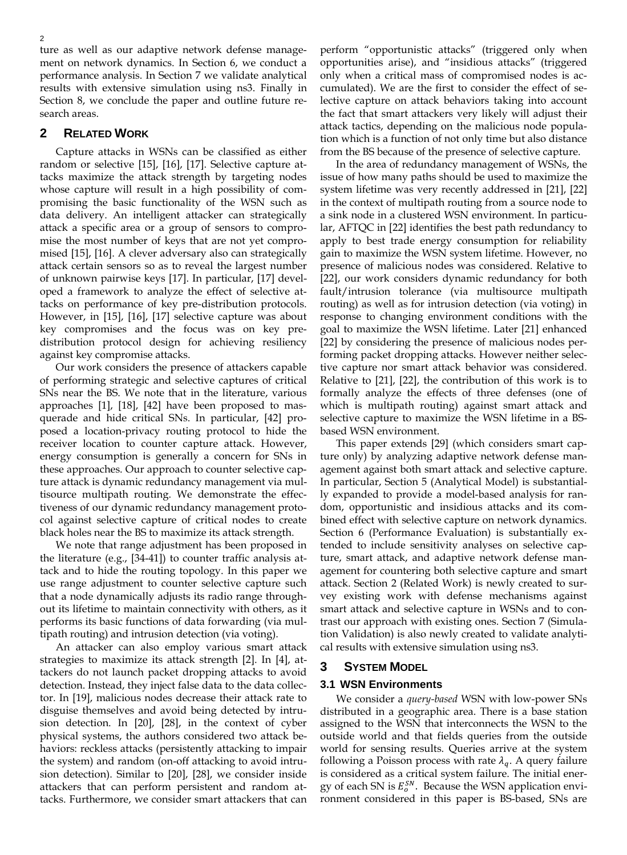ture as well as our adaptive network defense management on network dynamics. In Section 6, we conduct a performance analysis. In Section 7 we validate analytical results with extensive simulation using ns3. Finally in Section 8, we conclude the paper and outline future research areas.

# **2 RELATED WORK**

Capture attacks in WSNs can be classified as either random or selective [15], [16], [17]. Selective capture attacks maximize the attack strength by targeting nodes whose capture will result in a high possibility of compromising the basic functionality of the WSN such as data delivery. An intelligent attacker can strategically attack a specific area or a group of sensors to compromise the most number of keys that are not yet compromised [15], [16]. A clever adversary also can strategically attack certain sensors so as to reveal the largest number of unknown pairwise keys [17]. In particular, [17] developed a framework to analyze the effect of selective attacks on performance of key pre-distribution protocols. However, in [15], [16], [17] selective capture was about key compromises and the focus was on key predistribution protocol design for achieving resiliency against key compromise attacks.

Our work considers the presence of attackers capable of performing strategic and selective captures of critical SNs near the BS. We note that in the literature, various approaches [1], [18], [42] have been proposed to masquerade and hide critical SNs. In particular, [42] proposed a location-privacy routing protocol to hide the receiver location to counter capture attack. However, energy consumption is generally a concern for SNs in these approaches. Our approach to counter selective capture attack is dynamic redundancy management via multisource multipath routing. We demonstrate the effectiveness of our dynamic redundancy management protocol against selective capture of critical nodes to create black holes near the BS to maximize its attack strength.

We note that range adjustment has been proposed in the literature (e.g., [34-41]) to counter traffic analysis attack and to hide the routing topology. In this paper we use range adjustment to counter selective capture such that a node dynamically adjusts its radio range throughout its lifetime to maintain connectivity with others, as it performs its basic functions of data forwarding (via multipath routing) and intrusion detection (via voting).

An attacker can also employ various smart attack strategies to maximize its attack strength [2]. In [4], attackers do not launch packet dropping attacks to avoid detection. Instead, they inject false data to the data collector. In [19], malicious nodes decrease their attack rate to disguise themselves and avoid being detected by intrusion detection. In [20], [28], in the context of cyber physical systems, the authors considered two attack behaviors: reckless attacks (persistently attacking to impair the system) and random (on-off attacking to avoid intrusion detection). Similar to [20], [28], we consider inside attackers that can perform persistent and random attacks. Furthermore, we consider smart attackers that can perform "opportunistic attacks" (triggered only when opportunities arise), and "insidious attacks" (triggered only when a critical mass of compromised nodes is accumulated). We are the first to consider the effect of selective capture on attack behaviors taking into account the fact that smart attackers very likely will adjust their attack tactics, depending on the malicious node population which is a function of not only time but also distance from the BS because of the presence of selective capture.

In the area of redundancy management of WSNs, the issue of how many paths should be used to maximize the system lifetime was very recently addressed in [21], [22] in the context of multipath routing from a source node to a sink node in a clustered WSN environment. In particular, AFTQC in [22] identifies the best path redundancy to apply to best trade energy consumption for reliability gain to maximize the WSN system lifetime. However, no presence of malicious nodes was considered. Relative to [22], our work considers dynamic redundancy for both fault/intrusion tolerance (via multisource multipath routing) as well as for intrusion detection (via voting) in response to changing environment conditions with the goal to maximize the WSN lifetime. Later [21] enhanced [22] by considering the presence of malicious nodes performing packet dropping attacks. However neither selective capture nor smart attack behavior was considered. Relative to [21], [22], the contribution of this work is to formally analyze the effects of three defenses (one of which is multipath routing) against smart attack and selective capture to maximize the WSN lifetime in a BSbased WSN environment.

This paper extends [29] (which considers smart capture only) by analyzing adaptive network defense management against both smart attack and selective capture. In particular, Section 5 (Analytical Model) is substantially expanded to provide a model-based analysis for random, opportunistic and insidious attacks and its combined effect with selective capture on network dynamics. Section 6 (Performance Evaluation) is substantially extended to include sensitivity analyses on selective capture, smart attack, and adaptive network defense management for countering both selective capture and smart attack. Section 2 (Related Work) is newly created to survey existing work with defense mechanisms against smart attack and selective capture in WSNs and to contrast our approach with existing ones. Section 7 (Simulation Validation) is also newly created to validate analytical results with extensive simulation using ns3.

# **3 SYSTEM MODEL**

# **3.1 WSN Environments**

We consider a *query-based* WSN with low-power SNs distributed in a geographic area. There is a base station assigned to the WSN that interconnects the WSN to the outside world and that fields queries from the outside world for sensing results. Queries arrive at the system following a Poisson process with rate  $\lambda_q$ . A query failure is considered as a critical system failure. The initial energy of each SN is  $E_0^{SN}$ . Because the WSN application environment considered in this paper is BS-based, SNs are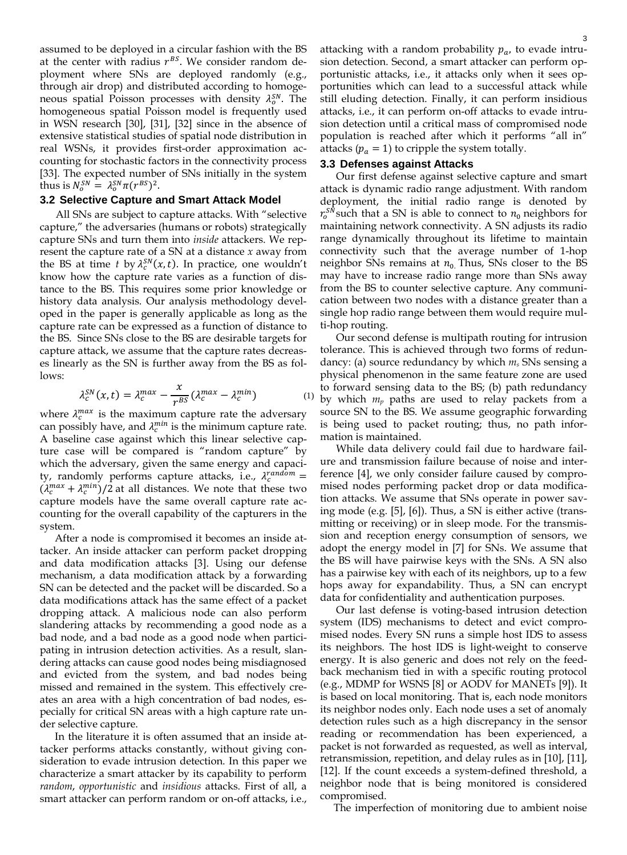assumed to be deployed in a circular fashion with the BS at the center with radius  $r^{BS}$ . We consider random deployment where SNs are deployed randomly (e.g., through air drop) and distributed according to homogeneous spatial Poisson processes with density  $\lambda_0^{SN}$ . The homogeneous spatial Poisson model is frequently used in WSN research [30], [31], [32] since in the absence of extensive statistical studies of spatial node distribution in real WSNs, it provides first-order approximation accounting for stochastic factors in the connectivity process [33]. The expected number of SNs initially in the system thus is  $N_o^{SN} = \lambda_o^{SN} \pi (r^{BS})^2$ .

# **3.2 Selective Capture and Smart Attack Model**

All SNs are subject to capture attacks. With "selective capture," the adversaries (humans or robots) strategically capture SNs and turn them into *inside* attackers. We represent the capture rate of a SN at a distance *x* away from the BS at time *t* by  $\lambda_c^{SN}(x,t)$ . In practice, one wouldn't know how the capture rate varies as a function of distance to the BS. This requires some prior knowledge or history data analysis. Our analysis methodology developed in the paper is generally applicable as long as the capture rate can be expressed as a function of distance to the BS. Since SNs close to the BS are desirable targets for capture attack, we assume that the capture rates decreases linearly as the SN is further away from the BS as follows:

$$
\lambda_c^{SN}(x,t) = \lambda_c^{max} - \frac{x}{r^{BS}} (\lambda_c^{max} - \lambda_c^{min})
$$
 (1)

where  $\lambda_c^{max}$  is the maximum capture rate the adversary can possibly have, and  $\lambda_c^{min}$  is the minimum capture rate. A baseline case against which this linear selective capture case will be compared is "random capture" by which the adversary, given the same energy and capacity, randomly performs capture attacks, i.e.,  $\lambda_c^{random} =$  $(\lambda_c^{max} + \lambda_c^{min})/2$  at all distances. We note that these two capture models have the same overall capture rate accounting for the overall capability of the capturers in the system.

After a node is compromised it becomes an inside attacker. An inside attacker can perform packet dropping and data modification attacks [3]. Using our defense mechanism, a data modification attack by a forwarding SN can be detected and the packet will be discarded. So a data modifications attack has the same effect of a packet dropping attack. A malicious node can also perform slandering attacks by recommending a good node as a bad node, and a bad node as a good node when participating in intrusion detection activities. As a result, slandering attacks can cause good nodes being misdiagnosed and evicted from the system, and bad nodes being missed and remained in the system. This effectively creates an area with a high concentration of bad nodes, especially for critical SN areas with a high capture rate under selective capture.

In the literature it is often assumed that an inside attacker performs attacks constantly, without giving consideration to evade intrusion detection. In this paper we characterize a smart attacker by its capability to perform *random*, *opportunistic* and *insidious* attacks. First of all, a smart attacker can perform random or on-off attacks, i.e.,

attacking with a random probability  $p_a$ , to evade intrusion detection. Second, a smart attacker can perform opportunistic attacks, i.e., it attacks only when it sees opportunities which can lead to a successful attack while still eluding detection. Finally, it can perform insidious attacks, i.e., it can perform on-off attacks to evade intrusion detection until a critical mass of compromised node population is reached after which it performs "all in" attacks ( $p_a = 1$ ) to cripple the system totally.

### **3.3 Defenses against Attacks**

Our first defense against selective capture and smart attack is dynamic radio range adjustment. With random deployment, the initial radio range is denoted by  $r_o^{SN}$  such that a SN is able to connect to  $n_o$  neighbors for maintaining network connectivity. A SN adjusts its radio range dynamically throughout its lifetime to maintain connectivity such that the average number of 1-hop neighbor SNs remains at  $n_0$ . Thus, SNs closer to the BS may have to increase radio range more than SNs away from the BS to counter selective capture. Any communication between two nodes with a distance greater than a single hop radio range between them would require multi-hop routing.

Our second defense is multipath routing for intrusion tolerance. This is achieved through two forms of redundancy: (a) source redundancy by which *ms* SNs sensing a physical phenomenon in the same feature zone are used to forward sensing data to the BS; (b) path redundancy by which *mp* paths are used to relay packets from a source SN to the BS. We assume geographic forwarding is being used to packet routing; thus, no path information is maintained.

While data delivery could fail due to hardware failure and transmission failure because of noise and interference [4], we only consider failure caused by compromised nodes performing packet drop or data modification attacks. We assume that SNs operate in power saving mode (e.g. [5], [6]). Thus, a SN is either active (transmitting or receiving) or in sleep mode. For the transmission and reception energy consumption of sensors, we adopt the energy model in [7] for SNs. We assume that the BS will have pairwise keys with the SNs. A SN also has a pairwise key with each of its neighbors, up to a few hops away for expandability. Thus, a SN can encrypt data for confidentiality and authentication purposes.

Our last defense is voting-based intrusion detection system (IDS) mechanisms to detect and evict compromised nodes. Every SN runs a simple host IDS to assess its neighbors. The host IDS is light-weight to conserve energy. It is also generic and does not rely on the feedback mechanism tied in with a specific routing protocol (e.g., MDMP for WSNS [8] or AODV for MANETs [9]). It is based on local monitoring. That is, each node monitors its neighbor nodes only. Each node uses a set of anomaly detection rules such as a high discrepancy in the sensor reading or recommendation has been experienced, a packet is not forwarded as requested, as well as interval, retransmission, repetition, and delay rules as in [10], [11], [12]. If the count exceeds a system-defined threshold, a neighbor node that is being monitored is considered compromised.

The imperfection of monitoring due to ambient noise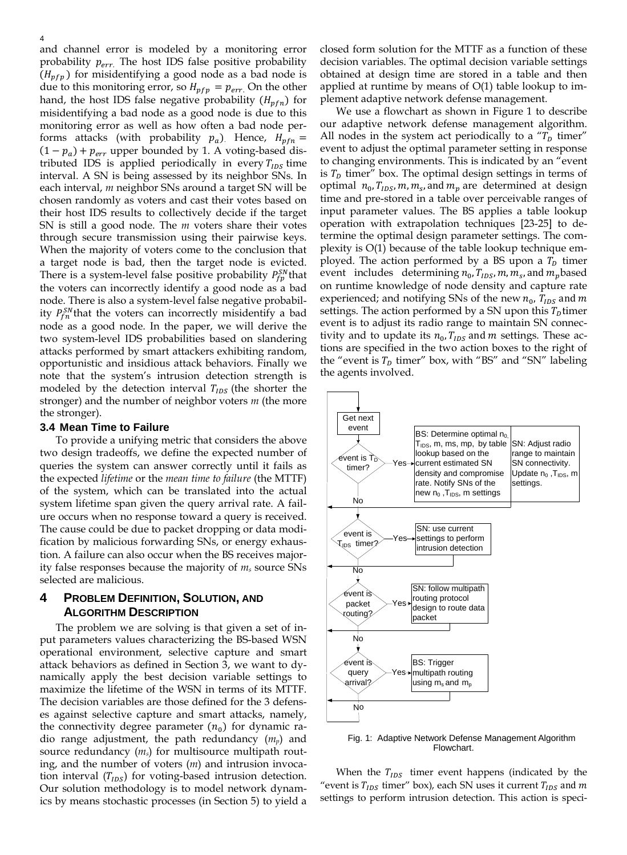and channel error is modeled by a monitoring error probability  $p_{err}$ . The host IDS false positive probability  $(H_{pfp})$  for misidentifying a good node as a bad node is due to this monitoring error, so  $H_{pfp} = p_{err}$ . On the other hand, the host IDS false negative probability  $(H_{pfn})$  for misidentifying a bad node as a good node is due to this monitoring error as well as how often a bad node performs attacks (with probability  $p_a$ ). Hence,  $H_{\text{pfn}} =$  $(1 - p_a) + p_{err}$  upper bounded by 1. A voting-based distributed IDS is applied periodically in every  $T_{\text{IDS}}$  time interval. A SN is being assessed by its neighbor SNs. In each interval, *m* neighbor SNs around a target SN will be chosen randomly as voters and cast their votes based on their host IDS results to collectively decide if the target SN is still a good node. The *m* voters share their votes through secure transmission using their pairwise keys. When the majority of voters come to the conclusion that a target node is bad, then the target node is evicted. There is a system-level false positive probability  $P_{fp}^{SN}$  that the voters can incorrectly identify a good node as a bad node. There is also a system-level false negative probability  $P_{fn}^{SN}$  that the voters can incorrectly misidentify a bad node as a good node. In the paper, we will derive the two system-level IDS probabilities based on slandering attacks performed by smart attackers exhibiting random, opportunistic and insidious attack behaviors. Finally we note that the system's intrusion detection strength is modeled by the detection interval  $T_{IDS}$  (the shorter the stronger) and the number of neighbor voters *m* (the more the stronger).

#### **3.4 Mean Time to Failure**

To provide a unifying metric that considers the above two design tradeoffs, we define the expected number of queries the system can answer correctly until it fails as the expected *lifetime* or the *mean time to failure* (the MTTF) of the system, which can be translated into the actual system lifetime span given the query arrival rate. A failure occurs when no response toward a query is received. The cause could be due to packet dropping or data modification by malicious forwarding SNs, or energy exhaustion. A failure can also occur when the BS receives majority false responses because the majority of *ms* source SNs selected are malicious.

# **4 PROBLEM DEFINITION, SOLUTION, AND ALGORITHM DESCRIPTION**

The problem we are solving is that given a set of input parameters values characterizing the BS-based WSN operational environment, selective capture and smart attack behaviors as defined in Section 3, we want to dynamically apply the best decision variable settings to maximize the lifetime of the WSN in terms of its MTTF. The decision variables are those defined for the 3 defenses against selective capture and smart attacks, namely, the connectivity degree parameter  $(n_0)$  for dynamic radio range adjustment, the path redundancy (*mp*) and source redundancy (*ms*) for multisource multipath routing, and the number of voters (*m*) and intrusion invocation interval  $(T_{IDS})$  for voting-based intrusion detection. Our solution methodology is to model network dynamics by means stochastic processes (in Section 5) to yield a closed form solution for the MTTF as a function of these decision variables. The optimal decision variable settings obtained at design time are stored in a table and then applied at runtime by means of O(1) table lookup to implement adaptive network defense management.

We use a flowchart as shown in Figure 1 to describe our adaptive network defense management algorithm. All nodes in the system act periodically to a  $T_D$  timer" event to adjust the optimal parameter setting in response to changing environments. This is indicated by an "event is  $T<sub>D</sub>$  timer" box. The optimal design settings in terms of optimal  $n_0$ ,  $T_{IDS}$ ,  $m$ ,  $m_s$ , and  $m_p$  are determined at design time and pre-stored in a table over perceivable ranges of input parameter values. The BS applies a table lookup operation with extrapolation techniques [23-25] to determine the optimal design parameter settings. The complexity is O(1) because of the table lookup technique employed. The action performed by a BS upon a  $T<sub>p</sub>$  timer event includes determining  $n_0$ ,  $T_{IDS}$ ,  $m$ ,  $m_s$ , and  $m_p$  based on runtime knowledge of node density and capture rate experienced; and notifying SNs of the new  $n_0$ ,  $T_{\text{IDS}}$  and m settings. The action performed by a SN upon this  $T<sub>D</sub>$  timer event is to adjust its radio range to maintain SN connectivity and to update its  $n_0$ ,  $T_{IDS}$  and  $m$  settings. These actions are specified in the two action boxes to the right of the "event is  $T<sub>D</sub>$  timer" box, with "BS" and "SN" labeling the agents involved.



Fig. 1: Adaptive Network Defense Management Algorithm Flowchart.

When the  $T_{IDS}$  timer event happens (indicated by the "event is  $T_{IDS}$  timer" box), each SN uses it current  $T_{IDS}$  and m settings to perform intrusion detection. This action is speci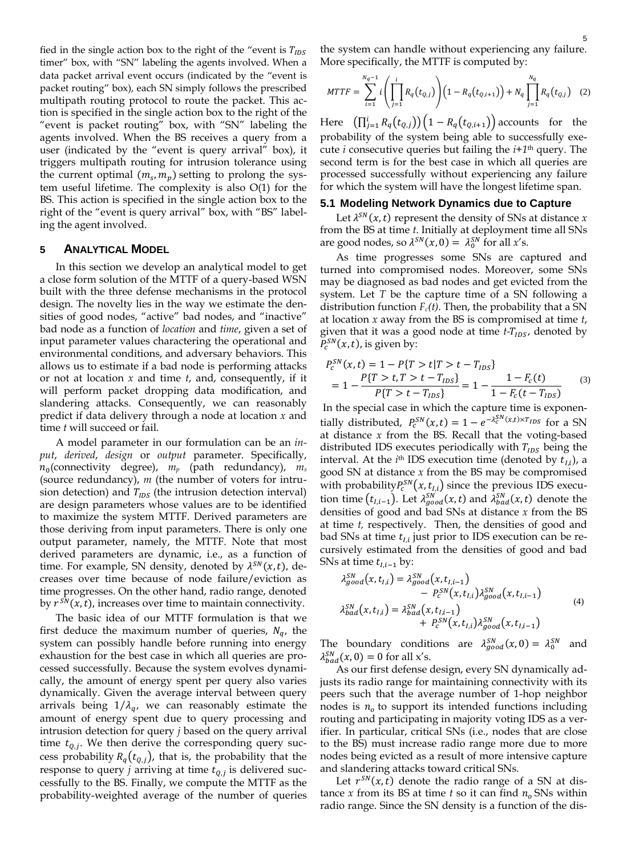fied in the single action box to the right of the "event is  $T_{IDS}$ timer" box, with "SN" labeling the agents involved. When a data packet arrival event occurs (indicated by the "event is packet routing" box), each SN simply follows the prescribed multipath routing protocol to route the packet. This action is specified in the single action box to the right of the "event is packet routing" box, with "SN" labeling the agents involved. When the BS receives a query from a user (indicated by the "event is query arrival" box), it triggers multipath routing for intrusion tolerance using the current optimal  $(m_s, m_p)$  setting to prolong the system useful lifetime. The complexity is also O(1) for the BS. This action is specified in the single action box to the right of the "event is query arrival" box, with "BS" labeling the agent involved.

# **5 ANALYTICAL MODEL**

In this section we develop an analytical model to get a close form solution of the MTTF of a query-based WSN built with the three defense mechanisms in the protocol design. The novelty lies in the way we estimate the densities of good nodes, "active" bad nodes, and "inactive" bad node as a function of *location* and *time*, given a set of input parameter values charactering the operational and environmental conditions, and adversary behaviors. This allows us to estimate if a bad node is performing attacks or not at location *x* and time *t*, and, consequently, if it will perform packet dropping data modification, and slandering attacks. Consequently, we can reasonably predict if data delivery through a node at location *x* and time *t* will succeed or fail.

A model parameter in our formulation can be an *input*, *derived*, *design* or *output* parameter. Specifically,  $n_0$ (connectivity degree),  $m_p$  (path redundancy),  $m_s$ (source redundancy), *m* (the number of voters for intrusion detection) and  $T_{IDS}$  (the intrusion detection interval) are design parameters whose values are to be identified to maximize the system MTTF. Derived parameters are those deriving from input parameters. There is only one output parameter, namely, the MTTF. Note that most derived parameters are dynamic, i.e., as a function of time. For example, SN density, denoted by  $\lambda^{SN}(x,t)$ , decreases over time because of node failure/eviction as time progresses. On the other hand, radio range, denoted by  $r^{SN}(x,t)$ , increases over time to maintain connectivity.

The basic idea of our MTTF formulation is that we first deduce the maximum number of queries,  $N_q$ , the system can possibly handle before running into energy exhaustion for the best case in which all queries are processed successfully. Because the system evolves dynamically, the amount of energy spent per query also varies dynamically. Given the average interval between query arrivals being  $1/\lambda_q$ , we can reasonably estimate the amount of energy spent due to query processing and intrusion detection for query *j* based on the query arrival time  $t_{Q,j}$ . We then derive the corresponding query success probability  $R_q\bigl(t_{Q,j}\bigr)$  , that is, the probability that the response to query *j* arriving at time  $t_{Q,j}$  is delivered successfully to the BS. Finally, we compute the MTTF as the probability-weighted average of the number of queries the system can handle without experiencing any failure. More specifically, the MTTF is computed by:

5

$$
MTTF = \sum_{i=1}^{N_q-1} i \left( \prod_{j=1}^i R_q(t_{Q,j}) \right) \left( 1 - R_q(t_{Q,i+1}) \right) + N_q \prod_{j=1}^{N_q} R_q(t_{Q,j}) \quad (2)
$$

Here  $(\prod_{j=1}^{i} R_q(t_{Q,j})) (1 - R_q(t_{Q,i+1}))$  accounts for the probability of the system being able to successfully execute *i* consecutive queries but failing the *i+1*th query. The second term is for the best case in which all queries are processed successfully without experiencing any failure for which the system will have the longest lifetime span.

#### **5.1 Modeling Network Dynamics due to Capture**

Let  $\lambda^{SN}(x, t)$  represent the density of SNs at distance *x* from the BS at time *t*. Initially at deployment time all SNs are good nodes, so  $\lambda^{SN}(x, 0) = \lambda_0^{SN}$  for all *x*'s.

As time progresses some SNs are captured and turned into compromised nodes. Moreover, some SNs may be diagnosed as bad nodes and get evicted from the system. Let *T* be the capture time of a SN following a distribution function  $F_c(t)$ . Then, the probability that a SN at location *x* away from the BS is compromised at time *t*, given that it was a good node at time *t*-T<sub>IDS</sub>, denoted by  $P_c^{SN}(x, t)$ , is given by:

$$
P_c^{SN}(x,t) = 1 - P\{T > t | T > t - T_{IDS}\}
$$
  
= 
$$
1 - \frac{P\{T > t, T > t - T_{IDS}\}}{P\{T > t - T_{IDS}\}} = 1 - \frac{1 - F_c(t)}{1 - F_c(t - T_{IDS})}
$$
 (3)

In the special case in which the capture time is exponentially distributed,  $P_c^{SN}(x,t) = 1 - e^{-\lambda_c^{SN}(x,t) \times T_{IDS}}$  for a SN at distance *x* from the BS. Recall that the voting-based distributed IDS executes periodically with  $T_{IDS}$  being the interval. At the  $i<sup>th</sup>$  IDS execution time (denoted by  $t_{I,i}$ ), a good SN at distance *x* from the BS may be compromised with probability $P_c^{SN}(x,t_{I,i})$  since the previous IDS execution time  $(t_{i,i-1})$ . Let  $\lambda_{good}^{SN}(x,t)$  and  $\lambda_{bad}^{SN}(x,t)$  denote the densities of good and bad SNs at distance *x* from the BS at time *t,* respectively. Then, the densities of good and bad SNs at time  $t_{i,i}$  just prior to IDS execution can be recursively estimated from the densities of good and bad SNs at time  $t_{i,i-1}$  by:

$$
\lambda_{good}^{SN}(x, t_{I,i}) = \lambda_{good}^{SN}(x, t_{I,i-1}) - P_c^{SN}(x, t_{I,i})\lambda_{good}^{SN}(x, t_{I,i-1})
$$
  
\n
$$
\lambda_{bad}^{SN}(x, t_{I,i}) = \lambda_{bad}^{SN}(x, t_{I,i-1}) + P_c^{SN}(x, t_{I,i})\lambda_{good}^{SN}(x, t_{I,i-1})
$$
\n(4)

The boundary conditions are  $\lambda_{good}^{SN}(x, 0) = \lambda_0^{S}$  and  $\lambda_{bad}^{SN}(x, 0) = 0$  for all x's.

As our first defense design, every SN dynamically adjusts its radio range for maintaining connectivity with its peers such that the average number of 1-hop neighbor nodes is  $n<sub>o</sub>$  to support its intended functions including routing and participating in majority voting IDS as a verifier. In particular, critical SNs (i.e., nodes that are close to the BS) must increase radio range more due to more nodes being evicted as a result of more intensive capture and slandering attacks toward critical SNs.

Let  $r^{SN}(x,t)$  denote the radio range of a SN at distance *x* from its BS at time *t* so it can find  $n_0$  SNs within radio range. Since the SN density is a function of the dis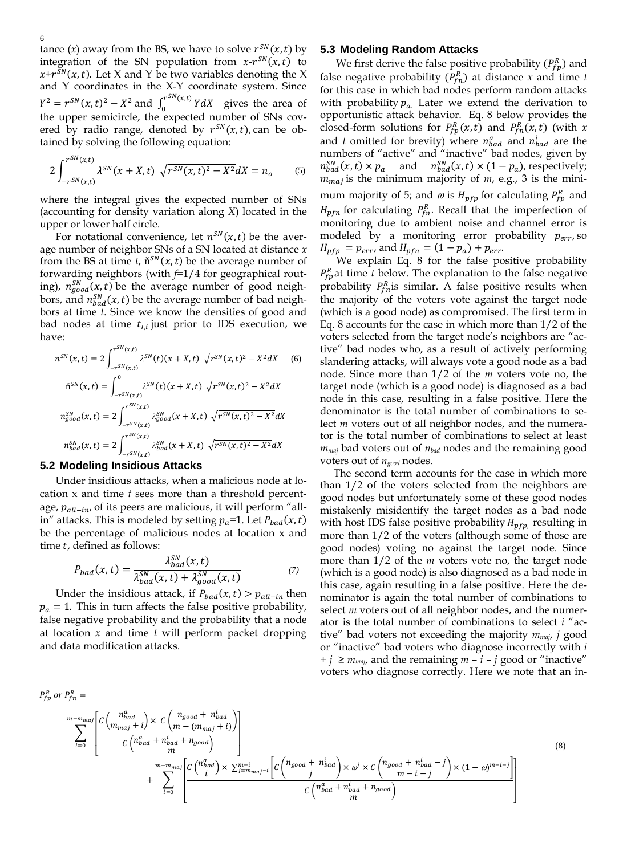tance (*x*) away from the BS, we have to solve  $r^{SN}(x,t)$  by integration of the SN population from  $x-r^{SN}(x,t)$  to  $x+r^{SN}(x,t)$ . Let X and Y be two variables denoting the X and Y coordinates in the X-Y coordinate system. Since  $Y^2 = r^{SN}(x,t)^2 - X^2$  and  $\int_0^{r^{SN}(x,t)} Y dX$  gives the area of the upper semicircle, the expected number of SNs covered by radio range, denoted by  $r^{SN}(x,t)$ , can be obtained by solving the following equation:

$$
2\int_{-r^{SN}(x,t)}^{r^{SN}(x,t)} \lambda^{SN}(x+X,t) \sqrt{r^{SN}(x,t)^2 - X^2} dX = n_o \tag{5}
$$

where the integral gives the expected number of SNs (accounting for density variation along *X*) located in the upper or lower half circle.

For notational convenience, let  $n^{SN}(x,t)$  be the average number of neighbor SNs of a SN located at distance *x* from the BS at time *t*,  $\check{n}^{SN}(x,t)$  be the average number of forwarding neighbors (with *f*=1/4 for geographical routing),  $n_{good}^{SN}(x,t)$  be the average number of good neighbors, and  $n_{bad}^{SN}(x,t)$  be the average number of bad neighbors at time *t.* Since we know the densities of good and bad nodes at time  $t_{I,i}$  just prior to IDS execution, we have:

$$
n^{SN}(x,t) = 2 \int_{-r^{SN}(x,t)}^{r^{SN}(x,t)} \lambda^{SN}(t)(x+X,t) \sqrt{r^{SN}(x,t)^{2} - X^{2}} dX
$$
 (6)  

$$
\tilde{n}^{SN}(x,t) = \int_{-r^{SN}(x,t)}^0 \lambda^{SN}(t)(x+X,t) \sqrt{r^{SN}(x,t)^{2} - X^{2}} dX
$$
  

$$
n_{good}^{SN}(x,t) = 2 \int_{-r^{SN}(x,t)}^{r^{SN}(x,t)} \lambda_{good}^{SN}(x+X,t) \sqrt{r^{SN}(x,t)^{2} - X^{2}} dX
$$
  

$$
n_{good}^{SN}(x,t) = 2 \int_{-r^{SN}(x,t)}^{r^{SN}(x,t)} \lambda_{bad}^{SN}(x+X,t) \sqrt{r^{SN}(x,t)^{2} - X^{2}} dX
$$

#### **5.2 Modeling Insidious Attacks**

 $P_{fp}^R$  or  $P_{fn}^R =$ 

Under insidious attacks, when a malicious node at location x and time *t* sees more than a threshold percentage,  $p_{all-in}$ , of its peers are malicious, it will perform "allin" attacks. This is modeled by setting  $p_a=1$ . Let  $P_{bad}(x,t)$ be the percentage of malicious nodes at location x and time  $t$ , defined as follows:

$$
P_{bad}(x,t) = \frac{\lambda_{bad}^{SN}(x,t)}{\lambda_{bad}^{SN}(x,t) + \lambda_{good}^{SN}(x,t)}
$$
(7)

Under the insidious attack, if  $P_{bad}(x,t) > p_{all-in}$  then  $p_a = 1$ . This in turn affects the false positive probability, false negative probability and the probability that a node at location *x* and time *t* will perform packet dropping and data modification attacks.

#### **5.3 Modeling Random Attacks**

We first derive the false positive probability  $(P_{fp}^R)$  and false negative probability  $(P_{fn}^R)$  at distance *x* and time *t* for this case in which bad nodes perform random attacks with probability  $p_a$ . Later we extend the derivation to opportunistic attack behavior. Eq. 8 below provides the closed-form solutions for  $P_{fp}^R(x,t)$  and  $P_{fn}^R(x,t)$  (with *x* and *t* omitted for brevity) where  $n_{bad}^a$  and  $n_{bad}^i$  are the numbers of "active" and "inactive" bad nodes, given by  $n_{bad}^{SN}(x,t) \times p_a$  and  $n_{bad}^{SN}(x,t) \times (1-p_a)$ , respectively;  $m_{maj}$  is the minimum majority of *m*, e.g., 3 is the minimum majority of 5; and  $\omega$  is  $H_{pfp}$  for calculating  $P_{fp}^R$  and  $H_{pfn}$  for calculating  $P_{fn}^R$ . Recall that the imperfection of monitoring due to ambient noise and channel error is modeled by a monitoring error probability  $p_{err}$ , so  $H_{pfp} = p_{err}$ , and  $H_{pfn} = (1 - p_a) + p_{err}$ .

We explain Eq. 8 for the false positive probability  $P_{fp}^R$ at time *t* below. The explanation to the false negative probability  $P_{fn}^R$  is similar. A false positive results when the majority of the voters vote against the target node (which is a good node) as compromised. The first term in Eq. 8 accounts for the case in which more than 1/2 of the voters selected from the target node's neighbors are "active" bad nodes who, as a result of actively performing slandering attacks, will always vote a good node as a bad node. Since more than 1/2 of the *m* voters vote no, the target node (which is a good node) is diagnosed as a bad node in this case, resulting in a false positive. Here the denominator is the total number of combinations to select *m* voters out of all neighbor nodes, and the numerator is the total number of combinations to select at least *mmaj* bad voters out of *nbad* nodes and the remaining good voters out of *ngood* nodes.

The second term accounts for the case in which more than 1/2 of the voters selected from the neighbors are good nodes but unfortunately some of these good nodes mistakenly misidentify the target nodes as a bad node with host IDS false positive probability  $H_{pfp}$  resulting in more than 1/2 of the voters (although some of those are good nodes) voting no against the target node. Since more than  $1/2$  of the *m* voters vote no, the target node (which is a good node) is also diagnosed as a bad node in this case, again resulting in a false positive. Here the denominator is again the total number of combinations to select *m* voters out of all neighbor nodes, and the numerator is the total number of combinations to select *i* "active" bad voters not exceeding the majority *mmaj*, *j* good or "inactive" bad voters who diagnose incorrectly with *i + j* ≥  $m_{\text{maj}}$ , and the remaining  $m - i - j$  good or "inactive" voters who diagnose correctly. Here we note that an in-

$$
\sum_{i=0}^{m-m_{mal}} \left[ \frac{C \left( n_{mad}^{a} \atop m_{maj} + i \right) \times C \left( n_{good}^{a} + n_{bad}^{i} \atop m_{com} + n_{good}^{i} \right)}{C \left( n_{bad}^{a} + n_{bad}^{i} + n_{good}^{a} \right)} \right]
$$
\n
$$
+ \sum_{i=0}^{m-m_{mal}} \left[ \frac{C \left( n_{bad}^{a} \atop i \right) \times \sum_{j=m_{mal}-i}^{m-i} \left[ C \left( n_{good}^{a} + n_{bad}^{i} \atop j \right) \times \omega^{j} \times C \left( n_{good}^{a} + n_{bad}^{i} - j \right) \times (1 - \omega)^{m-i-j} \right]}{C \left( n_{bad}^{a} + n_{bad}^{i} + n_{good}^{a} \right)} \right]
$$
\n
$$
(8)
$$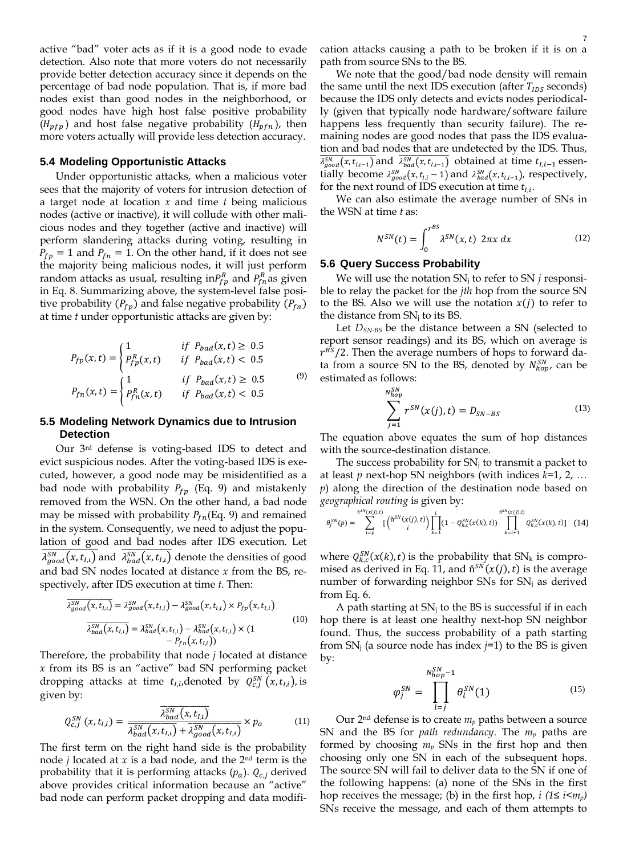active "bad" voter acts as if it is a good node to evade detection. Also note that more voters do not necessarily provide better detection accuracy since it depends on the percentage of bad node population. That is, if more bad nodes exist than good nodes in the neighborhood, or good nodes have high host false positive probability  $(H_{pfp})$  and host false negative probability  $(H_{pfn})$ , then more voters actually will provide less detection accuracy.

# **5.4 Modeling Opportunistic Attacks**

Under opportunistic attacks, when a malicious voter sees that the majority of voters for intrusion detection of a target node at location *x* and time *t* being malicious nodes (active or inactive), it will collude with other malicious nodes and they together (active and inactive) will perform slandering attacks during voting, resulting in  $P_{fp} = 1$  and  $P_{fn} = 1$ . On the other hand, if it does not see the majority being malicious nodes, it will just perform random attacks as usual, resulting in  $P_{fp}^R$  and  $P_{fn}^R$  as given in Eq. 8. Summarizing above, the system-level false positive probability  $(P_{fp})$  and false negative probability  $(P_{fn})$ at time *t* under opportunistic attacks are given by:

$$
P_{fp}(x,t) = \begin{cases} 1 & \text{if } P_{bad}(x,t) \ge 0.5\\ P_{fp}^R(x,t) & \text{if } P_{bad}(x,t) < 0.5 \end{cases}
$$
  

$$
P_{fn}(x,t) = \begin{cases} 1 & \text{if } P_{bad}(x,t) \ge 0.5\\ P_{fn}^R(x,t) & \text{if } P_{bad}(x,t) < 0.5 \end{cases}
$$
<sup>(9)</sup>

# **5.5 Modeling Network Dynamics due to Intrusion Detection**

Our 3rd defense is voting-based IDS to detect and evict suspicious nodes. After the voting-based IDS is executed, however, a good node may be misidentified as a bad node with probability  $P_{fp}$  (Eq. 9) and mistakenly removed from the WSN. On the other hand, a bad node may be missed with probability  $P_{fn}$ (Eq. 9) and remained in the system. Consequently, we need to adjust the population of good and bad nodes after IDS execution. Let  $\lambda_{good}^{SN}(x,t_{I,t})$  and  $\overline{\lambda_{bad}^{SN}(x,t_{I,t})}$  denote the densities of good and bad SN nodes located at distance *x* from the BS, respectively, after IDS execution at time *t*. Then:

$$
\lambda_{good}^{SN}(x, t_{l,i}) = \lambda_{good}^{SN}(x, t_{l,i}) - \lambda_{good}^{SN}(x, t_{l,i}) \times P_{fp}(x, t_{l,i})
$$
  

$$
\overline{\lambda_{bad}^{SN}(x, t_{l,i})} = \lambda_{bad}^{SN}(x, t_{l,i}) - \lambda_{bad}^{SN}(x, t_{l,i}) \times (1 - P_{fn}(x, t_{l,i}))
$$
(10)

Therefore, the probability that node *j* located at distance *x* from its BS is an "active" bad SN performing packet dropping attacks at time  $t_{I,i}$ , denoted by  $Q_{c,j}^{SN}(x,t_{I,i})$ , is given by:

$$
Q_{c,j}^{SN} \left(x, t_{I,i}\right) = \frac{\overline{\lambda_{bad}^{SN}\left(x, t_{I,i}\right)}}{\overline{\lambda_{bad}^{SN}\left(x, t_{I,i}\right)} + \overline{\lambda_{good}^{SN}\left(x, t_{I,i}\right)}} \times p_a \tag{11}
$$

The first term on the right hand side is the probability node *j* located at *x* is a bad node, and the 2nd term is the probability that it is performing attacks  $(p_a)$ .  $Q_{c,i}$  derived above provides critical information because an "active" bad node can perform packet dropping and data modification attacks causing a path to be broken if it is on a path from source SNs to the BS.

7

We note that the good/bad node density will remain the same until the next IDS execution (after  $T_{\text{IDS}}$  seconds) because the IDS only detects and evicts nodes periodically (given that typically node hardware/software failure happens less frequently than security failure). The remaining nodes are good nodes that pass the IDS evaluation and bad nodes that are undetected by the IDS. Thus,  $\lambda_{good}^{SN}(x,t_{I,l-1})$  and  $\lambda_{bad}^{SN}(x,t_{I,l-1})$  obtained at time  $t_{I,l-1}$  essentially become  $\lambda_{good}^{SN}(x, t_{i,i} - 1)$  and  $\lambda_{bad}^{SN}(x, t_{i,i-1})$ , respectively, for the next round of IDS execution at time  $t_{I,i}$ .

We can also estimate the average number of SNs in the WSN at time *t* as:

$$
N^{SN}(t) = \int_0^{r^{BS}} \lambda^{SN}(x, t) 2\pi x \, dx \tag{12}
$$

# **5.6 Query Success Probability**

We will use the notation SNj to refer to SN *j* responsible to relay the packet for the *jth* hop from the source SN to the BS. Also we will use the notation  $x(j)$  to refer to the distance from  $SN_i$  to its BS.

Let  $D_{SN-BS}$  be the distance between a SN (selected to report sensor readings) and its BS, which on average is  $r^{BS}/2$ . Then the average numbers of hops to forward data from a source SN to the BS, denoted by  $N_{hop}^{SN}$ , can be estimated as follows:

$$
\sum_{j=1}^{N_{hop}^{SN}} r^{SN}(x(j), t) = D_{SN-BS}
$$
\n(13)

The equation above equates the sum of hop distances with the source-destination distance.

The success probability for  $SN_i$  to transmit a packet to at least *p* next-hop SN neighbors (with indices *k*=1, 2, … *p*) along the direction of the destination node based on *geographical routing* is given by:

$$
\theta_j^{SN}(p) = \sum_{i=p}^{h^{SN}(x(j),t)} \left[ \binom{h^{SN}(x(j),t)}{i} \right] \prod_{k=1}^i (1 - Q_{k,c}^{SN}(x(k),t)) \prod_{k=i+1}^{h^{SN}(x(j),t)} Q_{k,c}^{SN}(x(k),t) \right] (14)
$$

where  $Q_{k,c}^{SN}(x(k),t)$  is the probability that SN<sub>k</sub> is compromised as derived in Eq. 11, and  $\check{n}^{SN}(x(j), t)$  is the average number of forwarding neighbor SNs for  $SN_i$  as derived from Eq. 6.

A path starting at  $SN<sub>j</sub>$  to the BS is successful if in each hop there is at least one healthy next-hop SN neighbor found. Thus, the success probability of a path starting from  $SN_i$  (a source node has index  $j=1$ ) to the BS is given by:

$$
\varphi_j^{SN} = \prod_{l=j}^{N_{hop}^{SN}-1} \theta_l^{SN}(1) \tag{15}
$$

Our 2nd defense is to create *mp* paths between a source SN and the BS for *path redundancy*. The *mp* paths are formed by choosing  $m_p$  SNs in the first hop and then choosing only one SN in each of the subsequent hops. The source SN will fail to deliver data to the SN if one of the following happens: (a) none of the SNs in the first hop receives the message; (b) in the first hop, *i (1≤ i<mp)* SNs receive the message, and each of them attempts to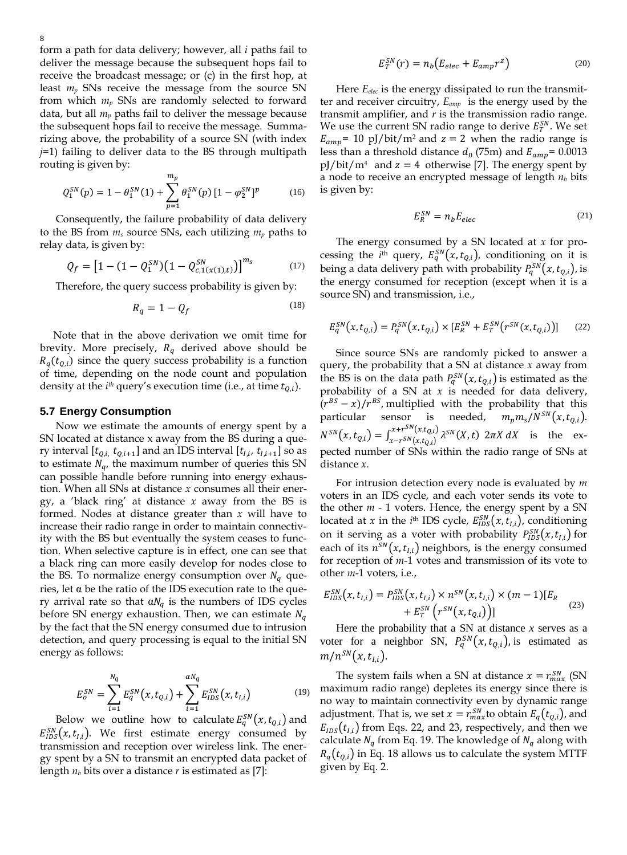form a path for data delivery; however, all *i* paths fail to deliver the message because the subsequent hops fail to receive the broadcast message; or (c) in the first hop, at least *mp* SNs receive the message from the source SN from which *mp* SNs are randomly selected to forward data, but all *mp* paths fail to deliver the message because the subsequent hops fail to receive the message. Summarizing above, the probability of a source SN (with index *j*=1) failing to deliver data to the BS through multipath routing is given by:

$$
Q_1^{SN}(p) = 1 - \theta_1^{SN}(1) + \sum_{p=1}^{m_p} \theta_1^{SN}(p) \left[1 - \varphi_2^{SN}\right]^p \tag{16}
$$

Consequently, the failure probability of data delivery to the BS from *ms* source SNs, each utilizing *mp* paths to relay data, is given by:

$$
Q_f = \left[1 - (1 - Q_1^{SN})(1 - Q_{c,1(x(1),t)}^{SN})\right]^{m_s}
$$
 (17)

Therefore, the query success probability is given by:

$$
R_q = 1 - Q_f \tag{18}
$$

Note that in the above derivation we omit time for brevity. More precisely,  $R_q$  derived above should be  $R_a(t_{0,i})$  since the query success probability is a function of time, depending on the node count and population density at the  $i<sup>th</sup>$  query's execution time (i.e., at time  $t_{0,i}$ ).

#### **5.7 Energy Consumption**

Now we estimate the amounts of energy spent by a SN located at distance x away from the BS during a query interval  $[t_{Q,i}, t_{Q,i+1}]$  and an IDS interval  $[t_{I,i}, t_{I,i+1}]$  so as to estimate  $N_q$ , the maximum number of queries this SN can possible handle before running into energy exhaustion. When all SNs at distance *x* consumes all their energy, a 'black ring' at distance *x* away from the BS is formed. Nodes at distance greater than *x* will have to increase their radio range in order to maintain connectivity with the BS but eventually the system ceases to function. When selective capture is in effect, one can see that a black ring can more easily develop for nodes close to the BS. To normalize energy consumption over  $N_q$  queries, let  $\alpha$  be the ratio of the IDS execution rate to the query arrival rate so that  $αN<sub>q</sub>$  is the numbers of IDS cycles before SN energy exhaustion. Then, we can estimate  $N_a$ by the fact that the SN energy consumed due to intrusion detection, and query processing is equal to the initial SN energy as follows:

$$
E_o^{SN} = \sum_{i=1}^{N_q} E_q^{SN}(x, t_{Q,i}) + \sum_{i=1}^{\alpha N_q} E_{IDS}^{SN}(x, t_{I,i})
$$
(19)

Below we outline how to calculate  $E_q^{SN}(x,t_{Q,i})$  and  $E_{\text{IDS}}^{SN}(x, t_{I,i})$ . We first estimate energy consumed by transmission and reception over wireless link. The energy spent by a SN to transmit an encrypted data packet of length *nb* bits over a distance *r* is estimated as [7]:

$$
E_T^{SN}(r) = n_b \left( E_{elec} + E_{amp} r^z \right) \tag{20}
$$

Here *Eelec* is the energy dissipated to run the transmitter and receiver circuitry, *Eamp* is the energy used by the transmit amplifier, and *r* is the transmission radio range. We use the current SN radio range to derive  $E_T^{SN}$ . We set  $E_{amp}$  = 10 pJ/bit/m<sup>2</sup> and  $z$  = 2 when the radio range is less than a threshold distance  $d_0$  (75m) and  $E_{amp}$  = 0.0013  $pJ/bit/m<sup>4</sup>$  and  $z = 4$  otherwise [7]. The energy spent by a node to receive an encrypted message of length  $n<sub>b</sub>$  bits is given by:

$$
E_R^{SN} = n_b E_{elec} \tag{21}
$$

The energy consumed by a SN located at *x* for processing the *i*<sup>th</sup> query,  $E_q^{SN}(x,t_{Q,i})$ , conditioning on it is being a data delivery path with probability  $P_q^{SN}(x,t_{Q,i})$ , is the energy consumed for reception (except when it is a source SN) and transmission, i.e.,

$$
E_q^{SN}(x, t_{Q,i}) = P_q^{SN}(x, t_{Q,i}) \times [E_R^{SN} + E_T^{SN}(r^{SN}(x, t_{Q,i}))]
$$
(22)

Since source SNs are randomly picked to answer a query, the probability that a SN at distance *x* away from the BS is on the data path  $P_q^{SN}(x,t_{Q,i})$  is estimated as the probability of a SN at *x* is needed for data delivery,  $(r^{BS}-x)/r^{BS}$ , multiplied with the probability that this particular sensor is needed,  $m_p m_s / N^{SN}(x, t_{0,i})$ .  $N^{SN}(x, t_{Q,i}) = \int_{x-r^{SN}(x, t_{Q,i})}^{x+r^{SN}(x, t_{Q,i})} \lambda^{SN}(X, t) 2\pi X dX$  is the expected number of SNs within the radio range of SNs at distance *x*.

For intrusion detection every node is evaluated by *m* voters in an IDS cycle, and each voter sends its vote to the other *m* - 1 voters. Hence, the energy spent by a SN located at *x* in the *i*<sup>th</sup> IDS cycle,  $E_{\text{IDS}}^{SN}(x, t_{I,i})$ , conditioning on it serving as a voter with probability  $P_{\text{IDS}}^{SN}(x, t_{I,i})$  for each of its  $n^{SN}(x, t_{i,i})$  neighbors, is the energy consumed for reception of *m*-1 votes and transmission of its vote to other *m*-1 voters, i.e.,

$$
E_{IDS}^{SN}(x, t_{I,i}) = P_{IDS}^{SN}(x, t_{I,i}) \times n^{SN}(x, t_{I,i}) \times (m-1)[E_R + E_T^{SN}(r^{SN}(x, t_{Q,i}))]
$$
\n(23)

Here the probability that a SN at distance  $x$  serves as a voter for a neighbor SN,  $P_q^{SN}(x, t_{Q,i})$ , is estimated as  $m/n^{SN}(x, t_{I,i}).$ 

The system fails when a SN at distance  $x = r_{max}^{SN}$  (SN maximum radio range) depletes its energy since there is no way to maintain connectivity even by dynamic range adjustment. That is, we set  $x = r_{max}^{SN}$  to obtain  $E_q(t_{Q,i})$ , and  $E_{\text{IDS}}(t_{\text{Li}})$  from Eqs. 22, and 23, respectively, and then we calculate  $N_q$  from Eq. 19. The knowledge of  $N_q$  along with  $R_q(t_{0,i})$  in Eq. 18 allows us to calculate the system MTTF given by Eq. 2.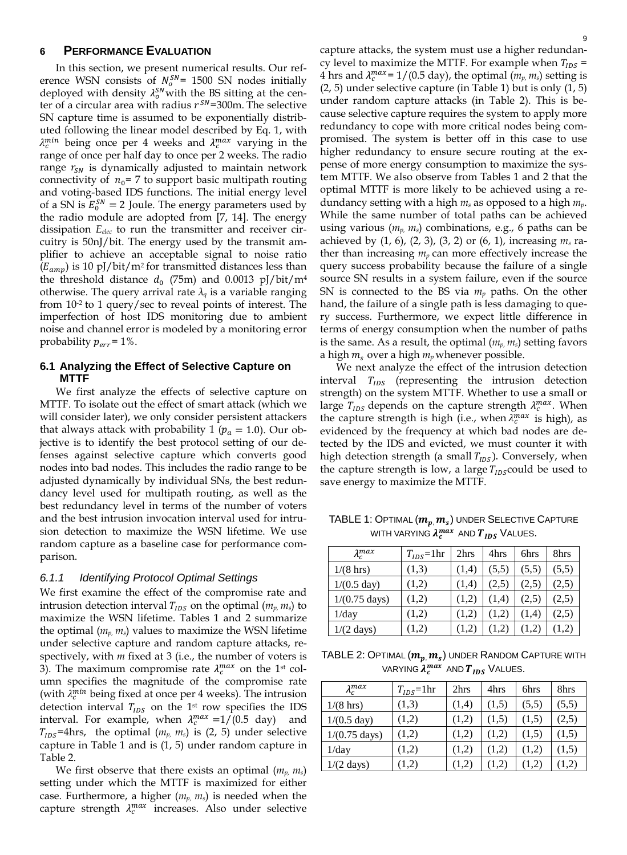#### **6 PERFORMANCE EVALUATION**

In this section, we present numerical results. Our reference WSN consists of  $N_o^{SN}$  = 1500 SN nodes initially deployed with density  $\lambda_o^{SN}$  with the BS sitting at the center of a circular area with radius  $r^{SN}$ =300m. The selective SN capture time is assumed to be exponentially distributed following the linear model described by Eq. 1, with  $\lambda_c^{min}$  being once per 4 weeks and  $\lambda_c^{max}$  varying in the range of once per half day to once per 2 weeks. The radio range  $r_{SN}$  is dynamically adjusted to maintain network connectivity of  $n_0$ = 7 to support basic multipath routing and voting-based IDS functions. The initial energy level of a SN is  $E_0^{SN} = 2$  Joule. The energy parameters used by the radio module are adopted from [7, 14]. The energy dissipation *Eelec* to run the transmitter and receiver circuitry is 50nJ/bit. The energy used by the transmit amplifier to achieve an acceptable signal to noise ratio  $(E_{amp})$  is 10 pJ/bit/m<sup>2</sup> for transmitted distances less than the threshold distance  $d_0$  (75m) and 0.0013 pJ/bit/m<sup>4</sup> otherwise. The query arrival rate  $\lambda_q$  is a variable ranging from 10-2 to 1 query/sec to reveal points of interest. The imperfection of host IDS monitoring due to ambient noise and channel error is modeled by a monitoring error probability  $p_{err} = 1\%$ .

# **6.1 Analyzing the Effect of Selective Capture on MTTF**

We first analyze the effects of selective capture on MTTF. To isolate out the effect of smart attack (which we will consider later), we only consider persistent attackers that always attack with probability 1 ( $p_a = 1.0$ ). Our objective is to identify the best protocol setting of our defenses against selective capture which converts good nodes into bad nodes. This includes the radio range to be adjusted dynamically by individual SNs, the best redundancy level used for multipath routing, as well as the best redundancy level in terms of the number of voters and the best intrusion invocation interval used for intrusion detection to maximize the WSN lifetime. We use random capture as a baseline case for performance comparison.

#### *6.1.1 Identifying Protocol Optimal Settings*

We first examine the effect of the compromise rate and intrusion detection interval  $T_{\text{IDS}}$  on the optimal ( $m_p$ ,  $m_s$ ) to maximize the WSN lifetime. Tables 1 and 2 summarize the optimal (*mp, ms*) values to maximize the WSN lifetime under selective capture and random capture attacks, respectively, with *m* fixed at 3 (i.e., the number of voters is 3). The maximum compromise rate  $\lambda_c^{max}$  on the 1<sup>st</sup> column specifies the magnitude of the compromise rate (with  $\lambda_c^{min}$  being fixed at once per 4 weeks). The intrusion detection interval  $T_{IDS}$  on the 1<sup>st</sup> row specifies the IDS interval. For example, when  $\lambda_c^{max} = 1/(0.5 \text{ day})$  and  $T_{IDS}$ =4hrs, the optimal ( $m_p$ ,  $m_s$ ) is (2, 5) under selective capture in Table 1 and is (1, 5) under random capture in Table 2.

We first observe that there exists an optimal (*mp, ms*) setting under which the MTTF is maximized for either case. Furthermore, a higher (*mp, ms*) is needed when the capture strength  $\lambda_c^{max}$  increases. Also under selective capture attacks, the system must use a higher redundancy level to maximize the MTTF. For example when  $T_{\text{IDS}}$  = 4 hrs and  $\lambda_c^{max}$  = 1/(0.5 day), the optimal ( $m_p$ ,  $m_s$ ) setting is (2, 5) under selective capture (in Table 1) but is only (1, 5) under random capture attacks (in Table 2). This is because selective capture requires the system to apply more redundancy to cope with more critical nodes being compromised. The system is better off in this case to use higher redundancy to ensure secure routing at the expense of more energy consumption to maximize the system MTTF. We also observe from Tables 1 and 2 that the optimal MTTF is more likely to be achieved using a redundancy setting with a high *ms* as opposed to a high *mp*. While the same number of total paths can be achieved using various (*mp, ms*) combinations, e.g., 6 paths can be achieved by (1, 6), (2, 3), (3, 2) or (6, 1), increasing *ms* rather than increasing *mp* can more effectively increase the query success probability because the failure of a single source SN results in a system failure, even if the source SN is connected to the BS via *mp* paths. On the other hand, the failure of a single path is less damaging to query success. Furthermore, we expect little difference in terms of energy consumption when the number of paths is the same. As a result, the optimal (*mp, ms*) setting favors a high  $m_s$  over a high  $m_p$  whenever possible.

We next analyze the effect of the intrusion detection interval  $T_{IDS}$  (representing the intrusion detection strength) on the system MTTF. Whether to use a small or large  $T_{IDS}$  depends on the capture strength  $\lambda_c^{max}$ . When the capture strength is high (i.e., when  $\lambda_c^{max}$  is high), as evidenced by the frequency at which bad nodes are detected by the IDS and evicted, we must counter it with high detection strength (a small  $T_{IDS}$ ). Conversely, when the capture strength is low, a large  $T_{\text{IDS}}$ could be used to save energy to maximize the MTTF.

TABLE 1: OPTIMAL  $(m_p, m_s)$  UNDER SELECTIVE CAPTURE WITH VARYING  $\lambda_c^{max}$  and  $T_{IDS}$  Values.

| $\lambda_c^{max}$       | $T_{IDS}$ =1hr | 2hrs  | 4hrs  | 6hrs  | 8hrs  |
|-------------------------|----------------|-------|-------|-------|-------|
| $1/(8 \text{ hrs})$     | (1,3)          | (1,4) | (5.5) | (5,5) | (5,5) |
| $1/(0.5 \text{ day})$   | (1,2)          | (1,4) | (2,5) | (2,5) | (2,5) |
| $1/(0.75 \text{ days})$ | (1,2)          | (1,2) | (1,4) | (2.5) | (2,5) |
| 1/day                   | (1,2)          | (1,2) | (1,2) | (1,4) | (2,5) |
| $1/(2 \text{ days})$    | (1,2)          | (1,2) | (1,2) | (1,2) | 1,2)  |

TABLE 2: OPTIMAL  $(m_p, m_s)$  under Random Capture with VARYING  $\lambda_c^{max}$  and  $T_{IDS}$  Values.

| $\lambda_c^{max}$       | $T_{IDS}$ =1hr | 2hrs  | 4hrs  | 6hrs  | 8hrs  |
|-------------------------|----------------|-------|-------|-------|-------|
| $1/(8 \text{ hrs})$     | (1,3)          | (1,4) | (1,5) | (5,5) | (5,5) |
| $1/(0.5 \text{ day})$   | (1,2)          | (1,2) | (1,5) | (1,5) | (2,5) |
| $1/(0.75 \text{ days})$ | (1,2)          | (1,2) | (1,2) | (1,5) | (1,5) |
| 1/day                   | (1,2)          | (1,2) | (1,2) | (1,2) | (1,5) |
| $1/(2 \text{ days})$    | (1,2)          | (1,2) | (1,2) | (1,2) | (1,2) |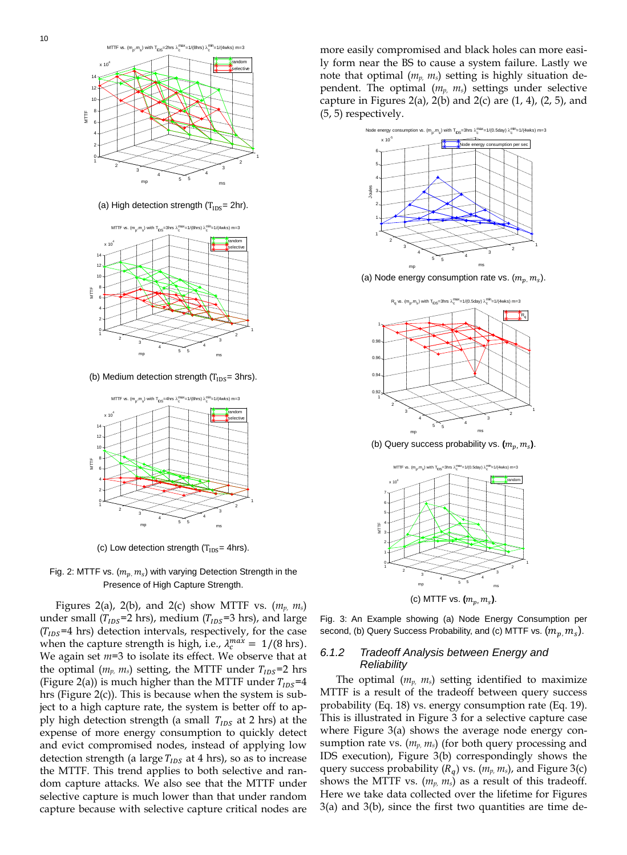

(a) High detection strength  $(T_{\text{IDS}}= 2hr)$ .



(b) Medium detection strength  $(T_{\text{IDS}}=3\text{hrs}).$ 



(c) Low detection strength  $(T_{\text{IDS}}=4\text{hrs}).$ 



Figures 2(a), 2(b), and 2(c) show MTTF vs.  $(m_p, m_s)$ under small ( $T_{IDS}$ =2 hrs), medium ( $T_{IDS}$ =3 hrs), and large  $(T_{\text{IDS}}=4$  hrs) detection intervals, respectively, for the case when the capture strength is high, i.e.,  $\lambda_c^{max} = 1/(8 \text{ hrs})$ . We again set *m*=3 to isolate its effect. We observe that at the optimal  $(m_p, m_s)$  setting, the MTTF under  $T_{\text{IDS}}$ =2 hrs (Figure 2(a)) is much higher than the MTTF under  $T_{IDS}$ =4 hrs (Figure 2(c)). This is because when the system is subject to a high capture rate, the system is better off to apply high detection strength (a small  $T_{IDS}$  at 2 hrs) at the expense of more energy consumption to quickly detect and evict compromised nodes, instead of applying low detection strength (a large  $T_{IDS}$  at 4 hrs), so as to increase the MTTF. This trend applies to both selective and random capture attacks. We also see that the MTTF under selective capture is much lower than that under random capture because with selective capture critical nodes are more easily compromised and black holes can more easily form near the BS to cause a system failure. Lastly we note that optimal (*mp, ms*) setting is highly situation dependent. The optimal (*mp, ms*) settings under selective capture in Figures 2(a), 2(b) and 2(c) are  $(1, 4)$ ,  $(2, 5)$ , and (5, 5) respectively.



(a) Node energy consumption rate vs.  $(m_p, m_s)$ .



(b) Query success probability vs.  $(m_n, m_s)$ .



(c) MTTF vs.  $(m_p, m_s)$ .

Fig. 3: An Example showing (a) Node Energy Consumption per second, (b) Query Success Probability, and (c) MTTF vs.  $(m_n, m_s)$ .

# *6.1.2 Tradeoff Analysis between Energy and Reliability*

The optimal (*mp, ms*) setting identified to maximize MTTF is a result of the tradeoff between query success probability (Eq. 18) vs. energy consumption rate (Eq. 19). This is illustrated in Figure 3 for a selective capture case where Figure 3(a) shows the average node energy consumption rate vs. (*mp, ms*) (for both query processing and IDS execution), Figure 3(b) correspondingly shows the query success probability  $(R_q)$  vs.  $(m_p, m_s)$ , and Figure 3(c) shows the MTTF vs. (*mp, ms*) as a result of this tradeoff. Here we take data collected over the lifetime for Figures 3(a) and 3(b), since the first two quantities are time de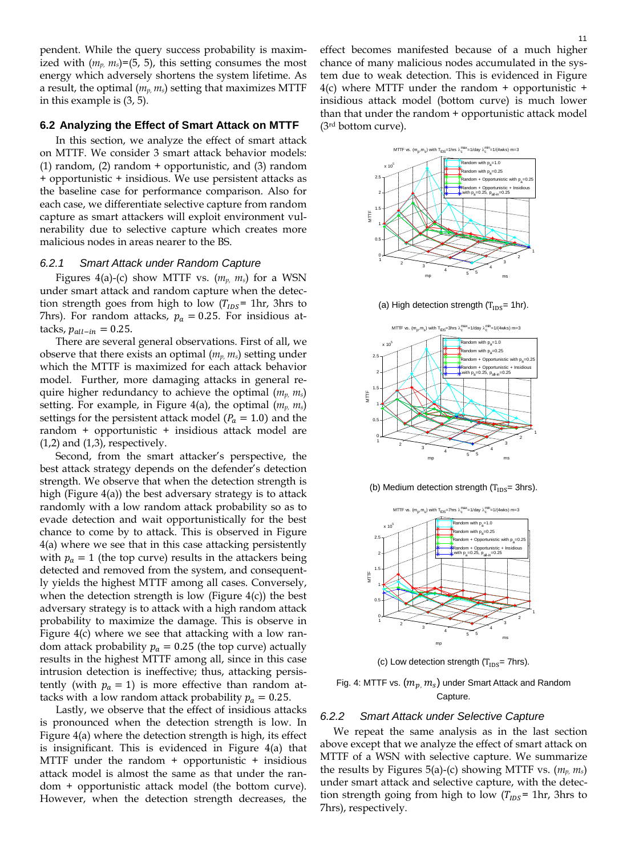pendent. While the query success probability is maximized with  $(m_p, m_s)$ =(5, 5), this setting consumes the most energy which adversely shortens the system lifetime. As a result, the optimal (*mp, ms*) setting that maximizes MTTF in this example is (3, 5).

#### **6.2 Analyzing the Effect of Smart Attack on MTTF**

In this section, we analyze the effect of smart attack on MTTF. We consider 3 smart attack behavior models: (1) random, (2) random + opportunistic, and (3) random + opportunistic + insidious. We use persistent attacks as the baseline case for performance comparison. Also for each case, we differentiate selective capture from random capture as smart attackers will exploit environment vulnerability due to selective capture which creates more malicious nodes in areas nearer to the BS.

#### *6.2.1 Smart Attack under Random Capture*

Figures 4(a)-(c) show MTTF vs. (*mp, ms*) for a WSN under smart attack and random capture when the detection strength goes from high to low  $(T_{\text{IDS}} = 1$ hr, 3hrs to 7hrs). For random attacks,  $p_a = 0.25$ . For insidious attacks,  $p_{all-in} = 0.25$ .

There are several general observations. First of all, we observe that there exists an optimal (*mp, ms*) setting under which the MTTF is maximized for each attack behavior model. Further, more damaging attacks in general require higher redundancy to achieve the optimal (*mp, ms*) setting. For example, in Figure 4(a), the optimal (*mp, ms*) settings for the persistent attack model ( $P_a = 1.0$ ) and the random + opportunistic + insidious attack model are  $(1,2)$  and  $(1,3)$ , respectively.

Second, from the smart attacker's perspective, the best attack strategy depends on the defender's detection strength. We observe that when the detection strength is high (Figure 4(a)) the best adversary strategy is to attack randomly with a low random attack probability so as to evade detection and wait opportunistically for the best chance to come by to attack. This is observed in Figure 4(a) where we see that in this case attacking persistently with  $p_a = 1$  (the top curve) results in the attackers being detected and removed from the system, and consequently yields the highest MTTF among all cases. Conversely, when the detection strength is low (Figure  $4(c)$ ) the best adversary strategy is to attack with a high random attack probability to maximize the damage. This is observe in Figure 4(c) where we see that attacking with a low random attack probability  $p_a = 0.25$  (the top curve) actually results in the highest MTTF among all, since in this case intrusion detection is ineffective; thus, attacking persistently (with  $p_a = 1$ ) is more effective than random attacks with a low random attack probability  $p_a = 0.25$ .

Lastly, we observe that the effect of insidious attacks is pronounced when the detection strength is low. In Figure 4(a) where the detection strength is high, its effect is insignificant. This is evidenced in Figure 4(a) that MTTF under the random + opportunistic + insidious attack model is almost the same as that under the random + opportunistic attack model (the bottom curve). However, when the detection strength decreases, the effect becomes manifested because of a much higher chance of many malicious nodes accumulated in the system due to weak detection. This is evidenced in Figure 4(c) where MTTF under the random + opportunistic + insidious attack model (bottom curve) is much lower than that under the random + opportunistic attack model (3rd bottom curve).



(a) High detection strength  $(T_{\text{IDS}}= 1$ hr).



(b) Medium detection strength ( $T_{\text{IDS}}$ = 3hrs).



(c) Low detection strength  $(T_{\text{IDS}} = 7$ hrs).

Fig. 4: MTTF vs.  $(m_n, m_s)$  under Smart Attack and Random Capture.

#### *6.2.2 Smart Attack under Selective Capture*

We repeat the same analysis as in the last section above except that we analyze the effect of smart attack on MTTF of a WSN with selective capture. We summarize the results by Figures 5(a)-(c) showing MTTF vs. (*mp, ms*) under smart attack and selective capture, with the detection strength going from high to low  $(T_{IDS} = 1$ hr, 3hrs to 7hrs), respectively.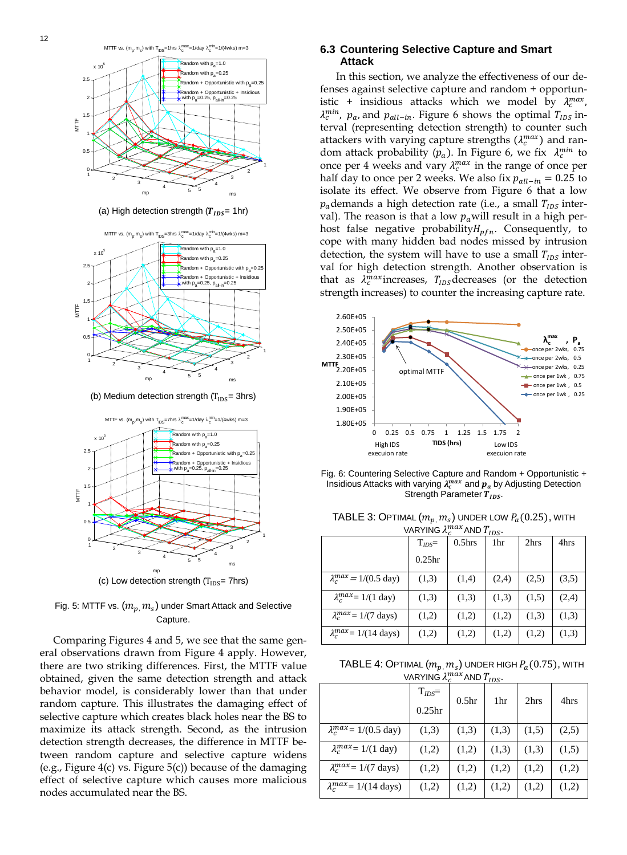

(a) High detection strength  $(T_{IDS} = 1$ hr)

MTTF vs.  $\left(m_{\text{p}}^{},m_{\text{s}}^{}\right)$  with  $\text{T}_\text{IDS}$ =3hrs  $\lambda_\text{c}^\text{max}$ =1/day  $\lambda_\text{c}^\text{min}$ =1/(4wks) m=3



(b) Medium detection strength  $(T_{\text{IDS}}=3$ hrs)

MTTF vs.  $(m_p, m_s)$  with T<sub>IDS</sub>=7hrs  $\lambda_c^{\text{max}}$ =1/day  $\lambda_c^{\text{min}}$ =1/(4wks) m=3



(c) Low detection strength  $(T_{\text{IDS}}=7$ hrs)

Fig. 5: MTTF vs.  $(m_n, m_s)$  under Smart Attack and Selective Capture.

Comparing Figures 4 and 5, we see that the same general observations drawn from Figure 4 apply. However, there are two striking differences. First, the MTTF value obtained, given the same detection strength and attack behavior model, is considerably lower than that under random capture. This illustrates the damaging effect of selective capture which creates black holes near the BS to maximize its attack strength. Second, as the intrusion detection strength decreases, the difference in MTTF between random capture and selective capture widens (e.g., Figure  $4(c)$  vs. Figure  $5(c)$ ) because of the damaging effect of selective capture which causes more malicious nodes accumulated near the BS.

# **6.3 Countering Selective Capture and Smart Attack**

In this section, we analyze the effectiveness of our defenses against selective capture and random + opportunistic + insidious attacks which we model by  $\lambda_c^{max}$ ,  $\lambda_c^{min}$ ,  $p_a$ , and  $p_{all-in}$ . Figure 6 shows the optimal  $T_{IDS}$  interval (representing detection strength) to counter such attackers with varying capture strengths  $(\lambda_c^{max})$  and random attack probability  $(p_a)$ . In Figure 6, we fix  $\lambda_c^{min}$  to once per 4 weeks and vary  $\lambda_c^{max}$  in the range of once per half day to once per 2 weeks. We also fix  $p_{all-in} = 0.25$  to isolate its effect. We observe from Figure 6 that a low  $p_a$ demands a high detection rate (i.e., a small  $T_{\text{IDS}}$  interval). The reason is that a low  $p_a$  will result in a high perhost false negative probability  $H_{\nu f n}$ . Consequently, to cope with many hidden bad nodes missed by intrusion detection, the system will have to use a small  $T_{\text{IDS}}$  interval for high detection strength. Another observation is that as  $\lambda_c^{max}$  increases,  $T_{IDS}$  decreases (or the detection strength increases) to counter the increasing capture rate.



Fig. 6: Countering Selective Capture and Random + Opportunistic + Insidious Attacks with varying  $\lambda_c^{max}$  and  $p_a$  by Adjusting Detection Strength Parameter  $\overline{T}_{\text{1DS}}$ .

| TABLE 3: OPTIMAL $(m_n, m_s)$ UNDER LOW $P_a(0.25)$ , WITH |  |  |  |  |  |  |
|------------------------------------------------------------|--|--|--|--|--|--|
| VARYING $\lambda_c^{max}$ AND $T_{INS}$ .                  |  |  |  |  |  |  |
|                                                            |  |  |  |  |  |  |

|                                        |                    |                    | 1 D J |       |       |
|----------------------------------------|--------------------|--------------------|-------|-------|-------|
|                                        | $T_{IDS}$ =        | 0.5 <sub>hrs</sub> | 1hr   | 2hrs  | 4hrs  |
|                                        | 0.25 <sub>hr</sub> |                    |       |       |       |
| $\lambda_c^{max}$ = 1/(0.5 day)        | (1,3)              | (1,4)              | (2,4) | (2,5) | (3,5) |
| $\lambda_c^{max} = 1/(1 \text{ day})$  | (1,3)              | (1,3)              | (1,3) | (1,5) | (2,4) |
| $\lambda_c^{max} = 1/(7 \text{ days})$ | (1,2)              | (1,2)              | (1,2) | (1,3) | (1,3) |
| $\lambda_c^{max}$ = 1/(14 days)        | (1,2)              | (1,2)              | (1,2) | (1,2) | (1,3) |

TABLE 4: OPTIMAL  $(m_p, m_s)$  UNDER HIGH  $P_a(0.75)$ , WITH VARYING  $\lambda_c^{max}$ AND  $T_{IDS}$ .

|                                         | $T_{IDS}$ =<br>0.25 <sub>hr</sub> | 0.5 <sub>hr</sub> | 1hr   | 2hrs  | 4hrs  |
|-----------------------------------------|-----------------------------------|-------------------|-------|-------|-------|
| $\lambda_c^{max}$ = 1/(0.5 day)         | (1,3)                             | (1,3)             | (1,3) | (1,5) | (2,5) |
| $\lambda_c^{max} = 1/(1 \text{ day})$   | (1,2)                             | (1,2)             | (1,3) | (1,3) | (1,5) |
| $\lambda_c^{max} = 1/(7 \text{ days})$  | (1,2)                             | (1,2)             | (1,2) | (1,2) | (1,2) |
| $\lambda_c^{max} = 1/(14 \text{ days})$ | (1,2)                             | (1,2)             | (1,2) | (1,2) | (1,2) |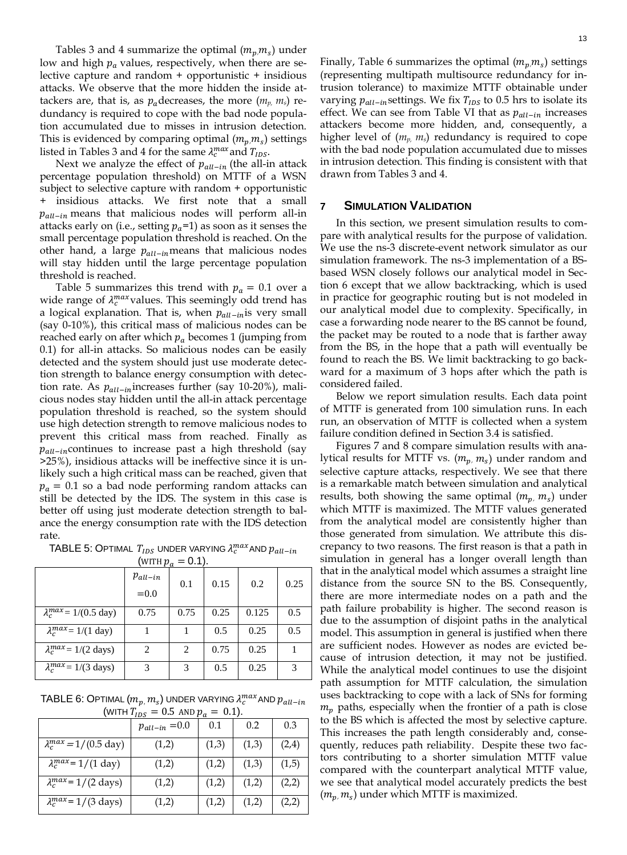Tables 3 and 4 summarize the optimal  $(m_p, m_s)$  under low and high  $p_a$  values, respectively, when there are selective capture and random + opportunistic + insidious attacks. We observe that the more hidden the inside attackers are, that is, as  $p_a$  decreases, the more  $(m_p, m_s)$  redundancy is required to cope with the bad node population accumulated due to misses in intrusion detection. This is evidenced by comparing optimal  $(m_n, m_s)$  settings listed in Tables 3 and 4 for the same  $\lambda_c^{max}$  and  $T_{\text{IDS}}$ .

Next we analyze the effect of  $p_{all-in}$  (the all-in attack percentage population threshold) on MTTF of a WSN subject to selective capture with random + opportunistic + insidious attacks. We first note that a small  $p_{all-in}$  means that malicious nodes will perform all-in attacks early on (i.e., setting  $p_a=1$ ) as soon as it senses the small percentage population threshold is reached. On the other hand, a large  $p_{all-in}$  means that malicious nodes will stay hidden until the large percentage population threshold is reached.

Table 5 summarizes this trend with  $p_a = 0.1$  over a wide range of  $\lambda_c^{max}$  values. This seemingly odd trend has a logical explanation. That is, when  $p_{all-in}$  is very small (say 0-10%), this critical mass of malicious nodes can be reached early on after which  $p_a$  becomes 1 (jumping from 0.1) for all-in attacks. So malicious nodes can be easily detected and the system should just use moderate detection strength to balance energy consumption with detection rate. As  $p_{all-in}$  increases further (say 10-20%), malicious nodes stay hidden until the all-in attack percentage population threshold is reached, so the system should use high detection strength to remove malicious nodes to prevent this critical mass from reached. Finally as  $p_{all-in}$  continues to increase past a high threshold (say >25%), insidious attacks will be ineffective since it is unlikely such a high critical mass can be reached, given that  $p_a = 0.1$  so a bad node performing random attacks can still be detected by the IDS. The system in this case is better off using just moderate detection strength to balance the energy consumption rate with the IDS detection rate.

 $\textsf{TABLE 5: OPTIMAL } T_{IDS}$  under varying  $\lambda_c^{max}$ and  $p_{all-}$ 

| (WITH $p_a = 0.1$ ).                   |                        |      |      |       |      |  |  |
|----------------------------------------|------------------------|------|------|-------|------|--|--|
|                                        | $p_{all-in}$<br>$=0.0$ | 0.1  | 0.15 | 0.2   | 0.25 |  |  |
| $\lambda_c^{max}$ = 1/(0.5 day)        | 0.75                   | 0.75 | 0.25 | 0.125 | 0.5  |  |  |
| $\lambda_c^{max} = 1/(1 \text{ day})$  |                        |      | 0.5  | 0.25  | 0.5  |  |  |
| $\lambda_c^{max}$ = 1/(2 days)         | 2                      | 2    | 0.75 | 0.25  |      |  |  |
| $\lambda_c^{max} = 1/(3 \text{ days})$ | 3                      | 3    | 0.5  | 0.25  | 3    |  |  |

 $\textsf{TABLE 6: OPTIMAL}\left( m_{p,\textit{m}_s} \right)$  under varying  $\lambda_{c}^{max}$ and  $p_{all-}$ (WITH  $T_{IDS} = 0.5$  AND  $p_a = 0.1$ ).

|                                 | ,,,,,              | i u   |       |       |
|---------------------------------|--------------------|-------|-------|-------|
|                                 | $p_{all-in} = 0.0$ | 0.1   | 0.2   | 0.3   |
| $\lambda_c^{max}$ = 1/(0.5 day) | (1,2)              | (1,3) | (1,3) | (2,4) |
| $\lambda_c^{max}$ = 1/(1 day)   | (1,2)              | (1,2) | (1,3) | (1,5) |
| $\lambda_c^{max}$ = 1/(2 days)  | (1,2)              | (1,2) | (1,2) | (2,2) |
| $\lambda_c^{max}$ = 1/(3 days)  | (1,2)              | (1,2) | (1,2) | (2,2) |

Finally, Table 6 summarizes the optimal  $(m_p, m_s)$  settings (representing multipath multisource redundancy for intrusion tolerance) to maximize MTTF obtainable under varying  $p_{all-in}$  settings. We fix  $T_{IDS}$  to 0.5 hrs to isolate its effect. We can see from Table VI that as  $p_{all-in}$  increases attackers become more hidden, and, consequently, a higher level of (*mp, ms*) redundancy is required to cope with the bad node population accumulated due to misses in intrusion detection. This finding is consistent with that drawn from Tables 3 and 4.

# **7 SIMULATION VALIDATION**

In this section, we present simulation results to compare with analytical results for the purpose of validation. We use the ns-3 discrete-event network simulator as our simulation framework. The ns-3 implementation of a BSbased WSN closely follows our analytical model in Section 6 except that we allow backtracking, which is used in practice for geographic routing but is not modeled in our analytical model due to complexity. Specifically, in case a forwarding node nearer to the BS cannot be found, the packet may be routed to a node that is farther away from the BS, in the hope that a path will eventually be found to reach the BS. We limit backtracking to go backward for a maximum of 3 hops after which the path is considered failed.

Below we report simulation results. Each data point of MTTF is generated from 100 simulation runs. In each run, an observation of MTTF is collected when a system failure condition defined in Section 3.4 is satisfied.

Figures 7 and 8 compare simulation results with analytical results for MTTF vs.  $(m_p, m_s)$  under random and selective capture attacks, respectively. We see that there is a remarkable match between simulation and analytical results, both showing the same optimal  $(m_p, m_s)$  under which MTTF is maximized. The MTTF values generated from the analytical model are consistently higher than those generated from simulation. We attribute this discrepancy to two reasons. The first reason is that a path in simulation in general has a longer overall length than that in the analytical model which assumes a straight line distance from the source SN to the BS. Consequently, there are more intermediate nodes on a path and the path failure probability is higher. The second reason is due to the assumption of disjoint paths in the analytical model. This assumption in general is justified when there are sufficient nodes. However as nodes are evicted because of intrusion detection, it may not be justified. While the analytical model continues to use the disjoint path assumption for MTTF calculation, the simulation uses backtracking to cope with a lack of SNs for forming  $m_p$  paths, especially when the frontier of a path is close to the BS which is affected the most by selective capture. This increases the path length considerably and, consequently, reduces path reliability. Despite these two factors contributing to a shorter simulation MTTF value compared with the counterpart analytical MTTF value, we see that analytical model accurately predicts the best  $(m_n, m_s)$  under which MTTF is maximized.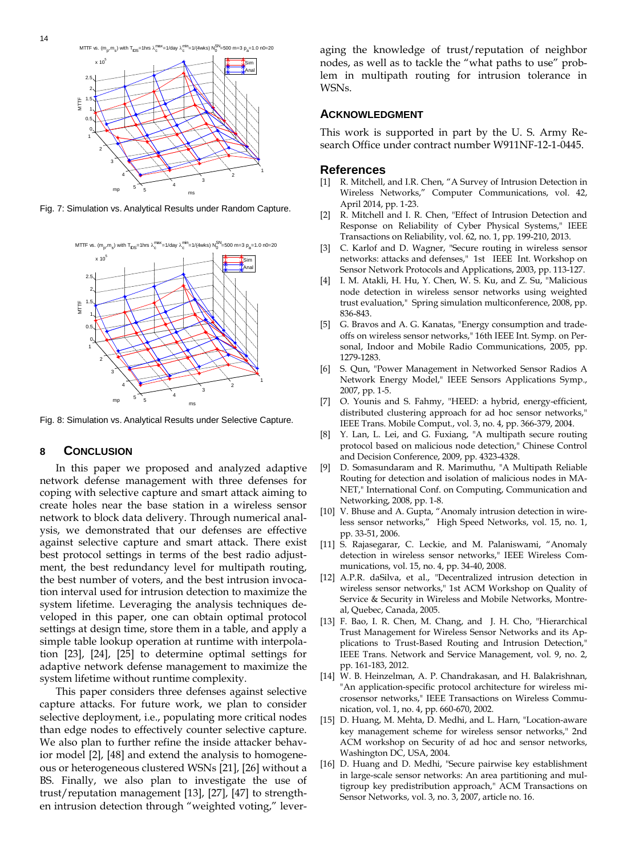14





Fig. 7: Simulation vs. Analytical Results under Random Capture.



Fig. 8: Simulation vs. Analytical Results under Selective Capture.

# **8 CONCLUSION**

In this paper we proposed and analyzed adaptive network defense management with three defenses for coping with selective capture and smart attack aiming to create holes near the base station in a wireless sensor network to block data delivery. Through numerical analysis, we demonstrated that our defenses are effective against selective capture and smart attack. There exist best protocol settings in terms of the best radio adjustment, the best redundancy level for multipath routing, the best number of voters, and the best intrusion invocation interval used for intrusion detection to maximize the system lifetime. Leveraging the analysis techniques developed in this paper, one can obtain optimal protocol settings at design time, store them in a table, and apply a simple table lookup operation at runtime with interpolation [23], [24], [25] to determine optimal settings for adaptive network defense management to maximize the system lifetime without runtime complexity.

This paper considers three defenses against selective capture attacks. For future work, we plan to consider selective deployment, i.e., populating more critical nodes than edge nodes to effectively counter selective capture. We also plan to further refine the inside attacker behavior model [2], [48] and extend the analysis to homogeneous or heterogeneous clustered WSNs [21], [26] without a BS. Finally, we also plan to investigate the use of trust/reputation management [13], [27], [47] to strengthen intrusion detection through "weighted voting," leveraging the knowledge of trust/reputation of neighbor nodes, as well as to tackle the "what paths to use" problem in multipath routing for intrusion tolerance in WSNs.

# **ACKNOWLEDGMENT**

This work is supported in part by the U. S. Army Research Office under contract number W911NF-12-1-0445.

# **References**<br>[1] R. Mitchell,

- R. Mitchell, and I.R. Chen, "A Survey of Intrusion Detection in Wireless Networks," Computer Communications, vol. 42, April 2014, pp. 1-23.
- [2] R. Mitchell and I. R. Chen, "Effect of Intrusion Detection and Response on Reliability of Cyber Physical Systems," IEEE Transactions on Reliability, vol. 62, no. 1, pp. 199-210, 2013.
- [3] C. Karlof and D. Wagner, "Secure routing in wireless sensor networks: attacks and defenses," 1st IEEE Int. Workshop on Sensor Network Protocols and Applications, 2003, pp. 113-127.
- [4] I. M. Atakli, H. Hu, Y. Chen, W. S. Ku, and Z. Su, "Malicious node detection in wireless sensor networks using weighted trust evaluation," Spring simulation multiconference, 2008, pp. 836-843.
- [5] G. Bravos and A. G. Kanatas, "Energy consumption and tradeoffs on wireless sensor networks," 16th IEEE Int. Symp. on Personal, Indoor and Mobile Radio Communications, 2005, pp. 1279-1283.
- [6] S. Qun, "Power Management in Networked Sensor Radios A Network Energy Model," IEEE Sensors Applications Symp., 2007, pp. 1-5.
- [7] O. Younis and S. Fahmy, "HEED: a hybrid, energy-efficient, distributed clustering approach for ad hoc sensor networks," IEEE Trans. Mobile Comput., vol. 3, no. 4, pp. 366-379, 2004.
- [8] Y. Lan, L. Lei, and G. Fuxiang, "A multipath secure routing protocol based on malicious node detection," Chinese Control and Decision Conference, 2009, pp. 4323-4328.
- [9] D. Somasundaram and R. Marimuthu, "A Multipath Reliable Routing for detection and isolation of malicious nodes in MA-NET," International Conf. on Computing, Communication and Networking, 2008, pp. 1-8.
- [10] V. Bhuse and A. Gupta, "Anomaly intrusion detection in wireless sensor networks," High Speed Networks, vol. 15, no. 1, pp. 33-51, 2006.
- [11] S. Rajasegarar, C. Leckie, and M. Palaniswami, "Anomaly detection in wireless sensor networks," IEEE Wireless Communications, vol. 15, no. 4, pp. 34-40, 2008.
- [12] A.P.R. daSilva, et al., "Decentralized intrusion detection in wireless sensor networks," 1st ACM Workshop on Quality of Service & Security in Wireless and Mobile Networks, Montreal, Quebec, Canada, 2005.
- [13] F. Bao, I. R. Chen, M. Chang, and J. H. Cho, "Hierarchical Trust Management for Wireless Sensor Networks and its Applications to Trust-Based Routing and Intrusion Detection, IEEE Trans. Network and Service Management, vol. 9, no. 2, pp. 161-183, 2012.
- [14] W. B. Heinzelman, A. P. Chandrakasan, and H. Balakrishnan, "An application-specific protocol architecture for wireless microsensor networks," IEEE Transactions on Wireless Communication, vol. 1, no. 4, pp. 660-670, 2002.
- [15] D. Huang, M. Mehta, D. Medhi, and L. Harn, "Location-aware key management scheme for wireless sensor networks," 2nd ACM workshop on Security of ad hoc and sensor networks, Washington DC, USA, 2004.
- [16] D. Huang and D. Medhi, "Secure pairwise key establishment in large-scale sensor networks: An area partitioning and multigroup key predistribution approach," ACM Transactions on Sensor Networks, vol. 3, no. 3, 2007, article no. 16.